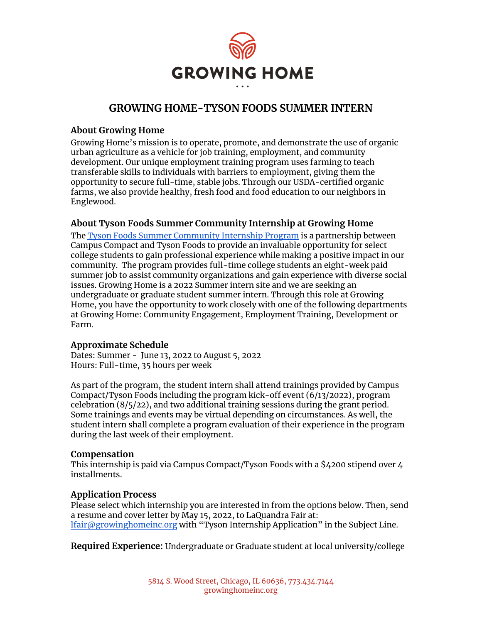

# **GROWING HOME-TYSON FOODS SUMMER INTERN**

#### **About Growing Home**

Growing Home's mission is to operate, promote, and demonstrate the use of organic urban agriculture as a vehicle for job training, employment, and community development. Our unique employment training program uses farming to teach transferable skills to individuals with barriers to employment, giving them the opportunity to secure full-time, stable jobs. Through our USDA-certified organic farms, we also provide healthy, fresh food and food education to our neighbors in Englewood.

### **About Tyson Foods Summer Community Internship at Growing Home**

The Tyson Foods Summer [Community](https://illinoiscampuscompact.org/tyson/) Internship Program is a partnership between Campus Compact and Tyson Foods to provide an invaluable opportunity for select college students to gain professional experience while making a positive impact in our community. The program provides full-time college students an eight-week paid summer job to assist community organizations and gain experience with diverse social issues. Growing Home is a 2022 Summer intern site and we are seeking an undergraduate or graduate student summer intern. Through this role at Growing Home, you have the opportunity to work closely with one of the following departments at Growing Home: Community Engagement, Employment Training, Development or Farm.

#### **Approximate Schedule**

Dates: Summer - June 13, 2022 to August 5, 2022 Hours: Full-time, 35 hours per week

As part of the program, the student intern shall attend trainings provided by Campus Compact/Tyson Foods including the program kick-off event (6/13/2022), program celebration (8/5/22), and two additional training sessions during the grant period. Some trainings and events may be virtual depending on circumstances. As well, the student intern shall complete a program evaluation of their experience in the program during the last week of their employment.

#### **Compensation**

This internship is paid via Campus Compact/Tyson Foods with a \$4200 stipend over 4 installments.

#### **Application Process**

Please select which internship you are interested in from the options below. Then, send a resume and cover letter by May 15, 2022, to LaQuandra Fair at: [lfair@growinghomeinc.org](mailto:lfair@growinghomeinc.org) with "Tyson Internship Application" in the Subject Line.

**Required Experience:** Undergraduate or Graduate student at local university/college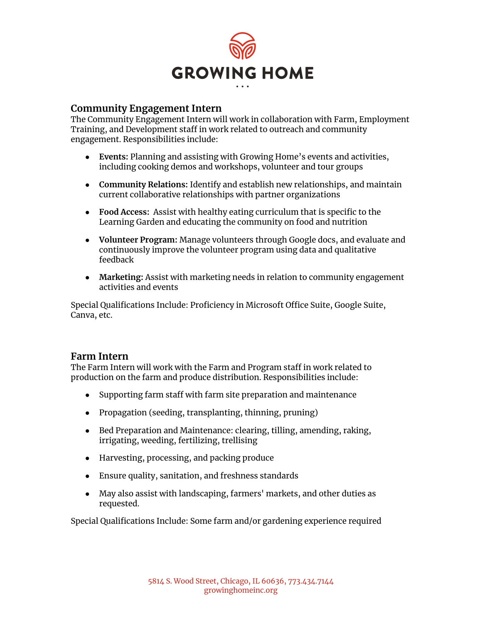

### **Community Engagement Intern**

The Community Engagement Intern will work in collaboration with Farm, Employment Training, and Development staff in work related to outreach and community engagement. Responsibilities include:

- **Events:** Planning and assisting with Growing Home's events and activities, including cooking demos and workshops, volunteer and tour groups
- **Community Relations:** Identify and establish new relationships, and maintain current collaborative relationships with partner organizations
- **Food Access:** Assist with healthy eating curriculum that is specific to the Learning Garden and educating the community on food and nutrition
- **● Volunteer Program:** Manage volunteers through Google docs, and evaluate and continuously improve the volunteer program using data and qualitative feedback
- **Marketing:** Assist with marketing needs in relation to community engagement activities and events

Special Qualifications Include: Proficiency in Microsoft Office Suite, Google Suite, Canva, etc.

### **Farm Intern**

The Farm Intern will work with the Farm and Program staff in work related to production on the farm and produce distribution. Responsibilities include:

- Supporting farm staff with farm site preparation and maintenance
- Propagation (seeding, transplanting, thinning, pruning)
- Bed Preparation and Maintenance: clearing, tilling, amending, raking, irrigating, weeding, fertilizing, trellising
- Harvesting, processing, and packing produce
- Ensure quality, sanitation, and freshness standards
- May also assist with landscaping, farmers' markets, and other duties as requested.

Special Qualifications Include: Some farm and/or gardening experience required